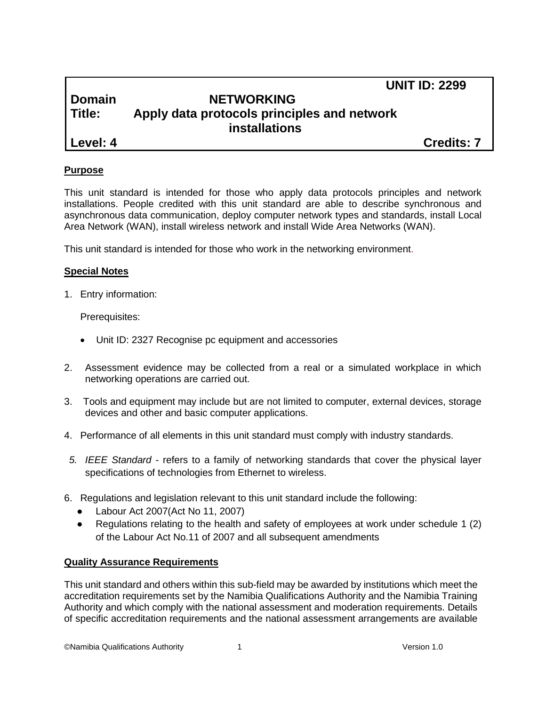## **UNIT ID: 2299**

## **Domain NETWORKING Title: Apply data protocols principles and network installations**

**Level: 4 Credits: 7**

## **Purpose**

This unit standard is intended for those who apply data protocols principles and network installations. People credited with this unit standard are able to describe synchronous and asynchronous data communication, deploy computer network types and standards, install Local Area Network (WAN), install wireless network and install Wide Area Networks (WAN).

This unit standard is intended for those who work in the networking environment.

## **Special Notes**

1. Entry information:

Prerequisites:

- Unit ID: 2327 Recognise pc equipment and accessories
- 2. Assessment evidence may be collected from a real or a simulated workplace in which networking operations are carried out.
- 3. Tools and equipment may include but are not limited to computer, external devices, storage devices and other and basic computer applications.
- 4. Performance of all elements in this unit standard must comply with industry standards.
- *5. IEEE Standard -* refers to a family of networking standards that cover the physical layer specifications of technologies from Ethernet to wireless.
- 6. Regulations and legislation relevant to this unit standard include the following:
	- Labour Act 2007(Act No 11, 2007)
	- Regulations relating to the health and safety of employees at work under schedule 1 (2) of the Labour Act No.11 of 2007 and all subsequent amendments

## **Quality Assurance Requirements**

This unit standard and others within this sub-field may be awarded by institutions which meet the accreditation requirements set by the Namibia Qualifications Authority and the Namibia Training Authority and which comply with the national assessment and moderation requirements. Details of specific accreditation requirements and the national assessment arrangements are available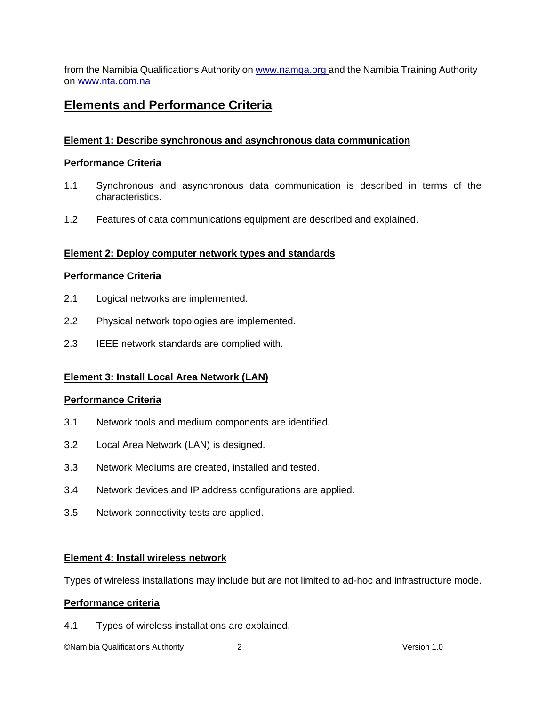from the Namibia Qualifications Authority o[n www.namqa.org a](http://www.namqa.org/)nd the Namibia Training Authority on [www.nta.com.na](http://www.nta.com.na/)

## **Elements and Performance Criteria**

## **Element 1: Describe synchronous and asynchronous data communication**

## **Performance Criteria**

- 1.1 Synchronous and asynchronous data communication is described in terms of the characteristics.
- 1.2 Features of data communications equipment are described and explained.

## **Element 2: Deploy computer network types and standards**

#### **Performance Criteria**

- 2.1 Logical networks are implemented.
- 2.2 Physical network topologies are implemented.
- 2.3 IEEE network standards are complied with.

## **Element 3: Install Local Area Network (LAN)**

#### **Performance Criteria**

- 3.1 Network tools and medium components are identified.
- 3.2 Local Area Network (LAN) is designed.
- 3.3 Network Mediums are created, installed and tested.
- 3.4 Network devices and IP address configurations are applied.
- 3.5 Network connectivity tests are applied.

#### **Element 4: Install wireless network**

Types of wireless installations may include but are not limited to ad-hoc and infrastructure mode.

#### **Performance criteria**

4.1 Types of wireless installations are explained.